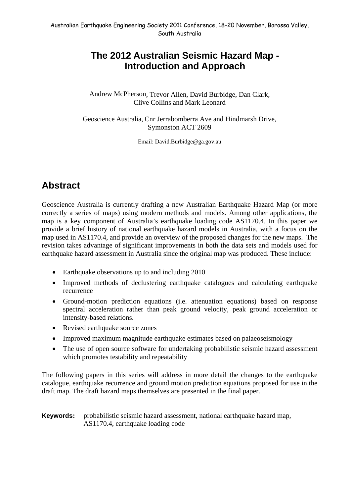## **The 2012 Australian Seismic Hazard Map - Introduction and Approach**

Andrew McPherson, Trevor Allen, David Burbidge, Dan Clark, Clive Collins and Mark Leonard

Geoscience Australia, Cnr Jerrabomberra Ave and Hindmarsh Drive, Symonston ACT 2609

Email: David.Burbidge@ga.gov.au

# **Abstract**

Geoscience Australia is currently drafting a new Australian Earthquake Hazard Map (or more correctly a series of maps) using modern methods and models. Among other applications, the map is a key component of Australia's earthquake loading code AS1170.4. In this paper we provide a brief history of national earthquake hazard models in Australia, with a focus on the map used in AS1170.4, and provide an overview of the proposed changes for the new maps. The revision takes advantage of significant improvements in both the data sets and models used for earthquake hazard assessment in Australia since the original map was produced. These include:

- Earthquake observations up to and including 2010
- Improved methods of declustering earthquake catalogues and calculating earthquake recurrence
- Ground-motion prediction equations (i.e. attenuation equations) based on response spectral acceleration rather than peak ground velocity, peak ground acceleration or intensity-based relations.
- Revised earthquake source zones
- Improved maximum magnitude earthquake estimates based on palaeoseismology
- The use of open source software for undertaking probabilistic seismic hazard assessment which promotes testability and repeatability

The following papers in this series will address in more detail the changes to the earthquake catalogue, earthquake recurrence and ground motion prediction equations proposed for use in the draft map. The draft hazard maps themselves are presented in the final paper.

**Keywords:** probabilistic seismic hazard assessment, national earthquake hazard map, AS1170.4, earthquake loading code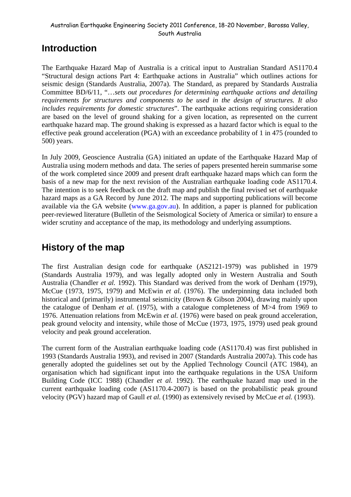# **Introduction**

The Earthquake Hazard Map of Australia is a critical input to Australian Standard AS1170.4 "Structural design actions Part 4: Earthquake actions in Australia" which outlines actions for seismic design (Standards Australia, 2007a). The Standard, as prepared by Standards Australia Committee BD/6/11, "…*sets out procedures for determining earthquake actions and detailing requirements for structures and components to be used in the design of structures. It also includes requirements for domestic structures*". The earthquake actions requiring consideration are based on the level of ground shaking for a given location, as represented on the current earthquake hazard map. The ground shaking is expressed as a hazard factor which is equal to the effective peak ground acceleration (PGA) with an exceedance probability of 1 in 475 (rounded to 500) years.

In July 2009, Geoscience Australia (GA) initiated an update of the Earthquake Hazard Map of Australia using modern methods and data. The series of papers presented herein summarise some of the work completed since 2009 and present draft earthquake hazard maps which can form the basis of a new map for the next revision of the Australian earthquake loading code AS1170.4. The intention is to seek feedback on the draft map and publish the final revised set of earthquake hazard maps as a GA Record by June 2012. The maps and supporting publications will become available via the GA website (www.ga.gov.au). In addition, a paper is planned for publication peer-reviewed literature (Bulletin of the Seismological Society of America or similar) to ensure a wider scrutiny and acceptance of the map, its methodology and underlying assumptions.

# **History of the map**

The first Australian design code for earthquake (AS2121-1979) was published in 1979 (Standards Australia 1979), and was legally adopted only in Western Australia and South Australia (Chandler *et al.* 1992). This Standard was derived from the work of Denham (1979), McCue (1973, 1975, 1979) and McEwin *et al.* (1976). The underpinning data included both historical and (primarily) instrumental seismicity (Brown & Gibson 2004), drawing mainly upon the catalogue of Denham *et al.* (1975), with a catalogue completeness of M>4 from 1969 to 1976. Attenuation relations from McEwin *et al.* (1976) were based on peak ground acceleration, peak ground velocity and intensity, while those of McCue (1973, 1975, 1979) used peak ground velocity and peak ground acceleration.

The current form of the Australian earthquake loading code (AS1170.4) was first published in 1993 (Standards Australia 1993), and revised in 2007 (Standards Australia 2007a). This code has generally adopted the guidelines set out by the Applied Technology Council (ATC 1984), an organisation which had significant input into the earthquake regulations in the USA Uniform Building Code (ICC 1988) (Chandler *et al.* 1992). The earthquake hazard map used in the current earthquake loading code (AS1170.4-2007) is based on the probabilistic peak ground velocity (PGV) hazard map of Gaull *et al.* (1990) as extensively revised by McCue *et al.* (1993).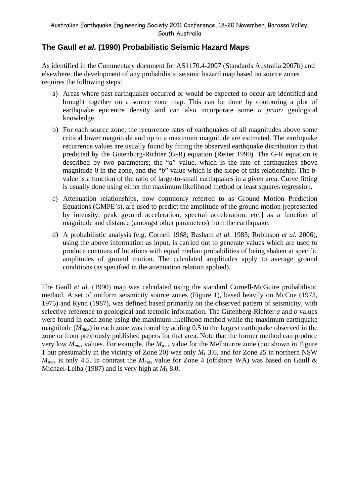### **The Gaull** *et al.* **(1990) Probabilistic Seismic Hazard Maps**

As identified in the Commentary document for AS1170.4-2007 (Standards Australia 2007b) and elsewhere, the development of any probabilistic seismic hazard map based on source zones requires the following steps:

- a) Areas where past earthquakes occurred or would be expected to occur are identified and brought together on a source zone map. This can be done by contouring a plot of earthquake epicentre density and can also incorporate some *a priori* geological knowledge.
- b) For each source zone, the recurrence rates of earthquakes of all magnitudes above some critical lower magnitude and up to a maximum magnitude are estimated. The earthquake recurrence values are usually found by fitting the observed earthquake distribution to that predicted by the Gutenburg-Richter (G-R) equation (Reiter 1990). The G-R equation is described by two parameters; the "*a*" value, which is the rate of earthquakes above magnitude 0 in the zone, and the "*b*" value which is the slope of this relationship. The *b*value is a function of the ratio of large-to-small earthquakes in a given area. Curve fitting is usually done using either the maximum likelihood method or least squares regression.
- c) Attenuation relationships, now commonly referred to as Ground Motion Prediction Equations (GMPE's), are used to predict the amplitude of the ground motion [represented by intensity, peak ground acceleration, spectral acceleration, etc.] as a function of magnitude and distance (amongst other parameters) from the earthquake.
- d) A probabilistic analysis (e.g. Cornell 1968; Basham *et al.* 1985; Robinson *et al.* 2006), using the above information as input, is carried out to generate values which are used to produce contours of locations with equal median probabilities of being shaken at specific amplitudes of ground motion. The calculated amplitudes apply to average ground conditions (as specified in the attenuation relation applied).

The Gaull *et al.* (1990) map was calculated using the standard Cornell-McGuire probabilistic method. A set of uniform seismicity source zones (Figure 1), based heavily on McCue (1973, 1975) and Rynn (1987), was defined based primarily on the observed pattern of seismicity, with selective reference to geological and tectonic information. The Gutenberg-Richter *a* and *b* values were found in each zone using the maximum likelihood method while the maximum earthquake magnitude ( $M_{max}$ ) in each zone was found by adding 0.5 to the largest earthquake observed in the zone or from previously published papers for that area. Note that the former method can produce very low *Mmax* values. For example, the *M*max value for the Melbourne zone (not shown in Figure 1 but presumably in the vicinity of Zone 20) was only *ML* 3.6, and for Zone 25 in northern NSW  $M_{\text{max}}$  is only 4.5. In contrast the  $M_{\text{max}}$  value for Zone 4 (offshore WA) was based on Gaull & Michael-Leiba (1987) and is very high at *ML* 8.0.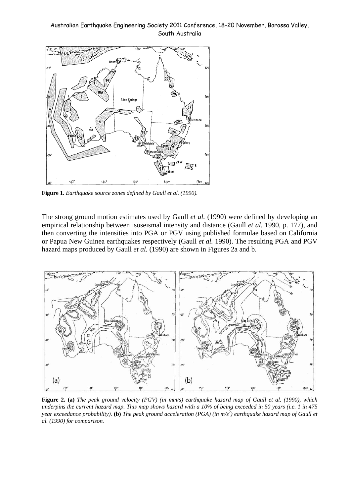

**Figure 1.** *Earthquake source zones defined by Gaull et al. (1990).* 

The strong ground motion estimates used by Gaull *et al.* (1990) were defined by developing an empirical relationship between isoseismal intensity and distance (Gaull *et al.* 1990, p. 177), and then converting the intensities into PGA or PGV using published formulae based on California or Papua New Guinea earthquakes respectively (Gaull *et al.* 1990). The resulting PGA and PGV hazard maps produced by Gaull *et al.* (1990) are shown in Figures 2a and b.



**Figure 2. (a)** *The peak ground velocity (PGV) (in mm/s) earthquake hazard map of Gaull et al. (1990), which underpins the current hazard map. This map shows hazard with a 10% of being exceeded in 50 years (i.e. 1 in 475 year exceedance probability*). (b) The peak ground acceleration (PGA) (in m/s<sup>2</sup>) earthquake hazard map of Gaull et *al. (1990) for comparison.*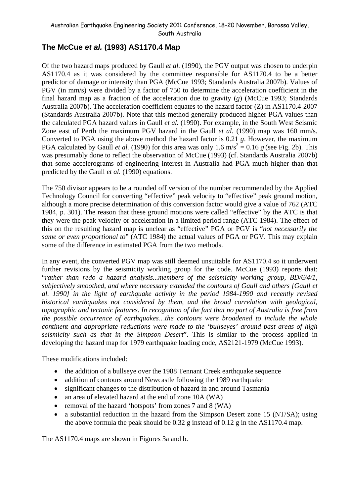### **The McCue** *et al.* **(1993) AS1170.4 Map**

Of the two hazard maps produced by Gaull *et al.* (1990), the PGV output was chosen to underpin AS1170.4 as it was considered by the committee responsible for AS1170.4 to be a better predictor of damage or intensity than PGA (McCue 1993; Standards Australia 2007b). Values of PGV (in mm/s) were divided by a factor of 750 to determine the acceleration coefficient in the final hazard map as a fraction of the acceleration due to gravity (*g*) (McCue 1993; Standards Australia 2007b). The acceleration coefficient equates to the hazard factor (Z) in AS1170.4-2007 (Standards Australia 2007b). Note that this method generally produced higher PGA values than the calculated PGA hazard values in Gaull *et al.* (1990). For example, in the South West Seismic Zone east of Perth the maximum PGV hazard in the Gaull *et al.* (1990) map was 160 mm/s. Converted to PGA using the above method the hazard factor is 0.21 *g*. However, the maximum PGA calculated by Gaull *et al.* (1990) for this area was only 1.6 m/s<sup>2</sup> = 0.16 *g* (see Fig. 2b). This was presumably done to reflect the observation of McCue (1993) (cf. Standards Australia 2007b) that some accelerograms of engineering interest in Australia had PGA much higher than that predicted by the Gaull *et al.* (1990) equations.

The 750 divisor appears to be a rounded off version of the number recommended by the Applied Technology Council for converting "effective" peak velocity to "effective" peak ground motion, although a more precise determination of this conversion factor would give a value of 762 (ATC 1984, p. 301). The reason that these ground motions were called "effective" by the ATC is that they were the peak velocity or acceleration in a limited period range (ATC 1984). The effect of this on the resulting hazard map is unclear as "effective" PGA or PGV is "*not necessarily the same or even proportional to*" (ATC 1984) the actual values of PGA or PGV. This may explain some of the difference in estimated PGA from the two methods.

In any event, the converted PGV map was still deemed unsuitable for AS1170.4 so it underwent further revisions by the seismicity working group for the code. McCue (1993) reports that: "*rather than redo a hazard analysis...members of the seismicity working group, BD/6/4/1, subjectively smoothed, and where necessary extended the contours of Gaull and others [Gaull et al. 1990] in the light of earthquake activity in the period 1984-1990 and recently revised historical earthquakes not considered by them, and the broad correlation with geological, topographic and tectonic features. In recognition of the fact that no part of Australia is free from the possible occurrence of earthquakes…the contours were broadened to include the whole continent and appropriate reductions were made to the 'bullseyes' around past areas of high seismicity such as that in the Simpson Desert*". This is similar to the process applied in developing the hazard map for 1979 earthquake loading code, AS2121-1979 (McCue 1993).

These modifications included:

- the addition of a bullseye over the 1988 Tennant Creek earthquake sequence
- addition of contours around Newcastle following the 1989 earthquake
- significant changes to the distribution of hazard in and around Tasmania
- an area of elevated hazard at the end of zone 10A (WA)
- removal of the hazard 'hotspots' from zones 7 and 8 (WA)
- a substantial reduction in the hazard from the Simpson Desert zone 15 (NT/SA); using the above formula the peak should be 0.32 g instead of 0.12 g in the AS1170.4 map.

The AS1170.4 maps are shown in Figures 3a and b.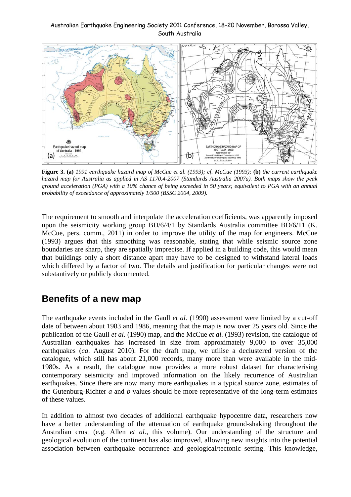

**Figure 3. (a)** *1991 earthquake hazard map of McCue et al. (1993); cf. McCue (1993);* **(b)** *the current earthquake hazard map for Australia as applied in AS 1170.4-2007 (Standards Australia 2007a). Both maps show the peak ground acceleration (PGA) with a 10% chance of being exceeded in 50 years; equivalent to PGA with an annual probability of exceedance of approximately 1/500 (BSSC 2004, 2009).* 

The requirement to smooth and interpolate the acceleration coefficients, was apparently imposed upon the seismicity working group BD/6/4/1 by Standards Australia committee BD/6/11 (K. McCue, pers. comm., 2011) in order to improve the utility of the map for engineers. McCue (1993) argues that this smoothing was reasonable, stating that while seismic source zone boundaries are sharp, they are spatially imprecise. If applied in a building code, this would mean that buildings only a short distance apart may have to be designed to withstand lateral loads which differed by a factor of two. The details and justification for particular changes were not substantively or publicly documented.

## **Benefits of a new map**

The earthquake events included in the Gaull *et al.* (1990) assessment were limited by a cut-off date of between about 1983 and 1986, meaning that the map is now over 25 years old. Since the publication of the Gaull *et al.* (1990) map, and the McCue *et al.* (1993) revision, the catalogue of Australian earthquakes has increased in size from approximately 9,000 to over 35,000 earthquakes (*ca*. August 2010). For the draft map, we utilise a declustered version of the catalogue, which still has about 21,000 records, many more than were available in the mid-1980s. As a result, the catalogue now provides a more robust dataset for characterising contemporary seismicity and improved information on the likely recurrence of Australian earthquakes. Since there are now many more earthquakes in a typical source zone, estimates of the Gutenburg-Richter *a* and *b* values should be more representative of the long-term estimates of these values.

In addition to almost two decades of additional earthquake hypocentre data, researchers now have a better understanding of the attenuation of earthquake ground-shaking throughout the Australian crust (e.g. Allen *et al.*, this volume). Our understanding of the structure and geological evolution of the continent has also improved, allowing new insights into the potential association between earthquake occurrence and geological/tectonic setting. This knowledge,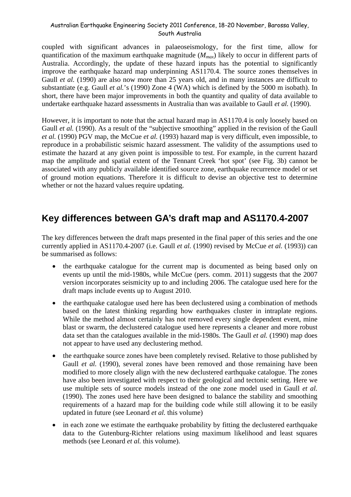coupled with significant advances in palaeoseismology, for the first time, allow for quantification of the maximum earthquake magnitude (*Mmax*) likely to occur in different parts of Australia. Accordingly, the update of these hazard inputs has the potential to significantly improve the earthquake hazard map underpinning AS1170.4. The source zones themselves in Gaull *et al.* (1990) are also now more than 25 years old, and in many instances are difficult to substantiate (e.g. Gaull *et al.*'s (1990) Zone 4 (WA) which is defined by the 5000 m isobath). In short, there have been major improvements in both the quantity and quality of data available to undertake earthquake hazard assessments in Australia than was available to Gaull *et al.* (1990).

However, it is important to note that the actual hazard map in AS1170.4 is only loosely based on Gaull *et al.* (1990). As a result of the "subjective smoothing" applied in the revision of the Gaull *et al.* (1990) PGV map, the McCue *et al.* (1993) hazard map is very difficult, even impossible, to reproduce in a probabilistic seismic hazard assessment. The validity of the assumptions used to estimate the hazard at any given point is impossible to test. For example, in the current hazard map the amplitude and spatial extent of the Tennant Creek 'hot spot' (see Fig. 3b) cannot be associated with any publicly available identified source zone, earthquake recurrence model or set of ground motion equations. Therefore it is difficult to devise an objective test to determine whether or not the hazard values require updating.

## **Key differences between GA's draft map and AS1170.4-2007**

The key differences between the draft maps presented in the final paper of this series and the one currently applied in AS1170.4-2007 (i.e. Gaull *et al.* (1990) revised by McCue *et al.* (1993)) can be summarised as follows:

- the earthquake catalogue for the current map is documented as being based only on events up until the mid-1980s, while McCue (pers. comm. 2011) suggests that the 2007 version incorporates seismicity up to and including 2006. The catalogue used here for the draft maps include events up to August 2010.
- the earthquake catalogue used here has been declustered using a combination of methods based on the latest thinking regarding how earthquakes cluster in intraplate regions. While the method almost certainly has not removed every single dependent event, mine blast or swarm, the declustered catalogue used here represents a cleaner and more robust data set than the catalogues available in the mid-1980s. The Gaull *et al.* (1990) map does not appear to have used any declustering method.
- the earthquake source zones have been completely revised. Relative to those published by Gaull *et al.* (1990), several zones have been removed and those remaining have been modified to more closely align with the new declustered earthquake catalogue. The zones have also been investigated with respect to their geological and tectonic setting. Here we use multiple sets of source models instead of the one zone model used in Gaull *et al.* (1990). The zones used here have been designed to balance the stability and smoothing requirements of a hazard map for the building code while still allowing it to be easily updated in future (see Leonard *et al.* this volume)
- in each zone we estimate the earthquake probability by fitting the declustered earthquake data to the Gutenburg-Richter relations using maximum likelihood and least squares methods (see Leonard *et al.* this volume).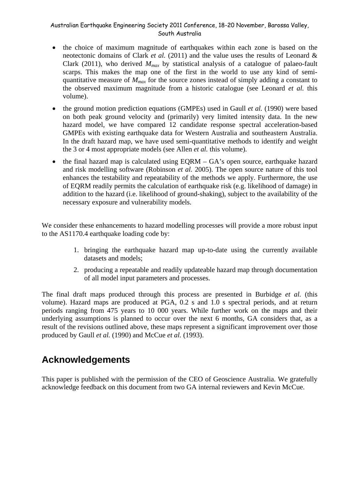- the choice of maximum magnitude of earthquakes within each zone is based on the neotectonic domains of Clark *et al.* (2011) and the value uses the results of Leonard & Clark (2011), who derived  $M_{max}$  by statistical analysis of a catalogue of palaeo-fault scarps. This makes the map one of the first in the world to use any kind of semiquantitative measure of *Mmax* for the source zones instead of simply adding a constant to the observed maximum magnitude from a historic catalogue (see Leonard *et al.* this volume).
- the ground motion prediction equations (GMPEs) used in Gaull *et al.* (1990) were based on both peak ground velocity and (primarily) very limited intensity data. In the new hazard model, we have compared 12 candidate response spectral acceleration-based GMPEs with existing earthquake data for Western Australia and southeastern Australia. In the draft hazard map, we have used semi-quantitative methods to identify and weight the 3 or 4 most appropriate models (see Allen *et al.* this volume).
- the final hazard map is calculated using  $EQRM GA$ 's open source, earthquake hazard and risk modelling software (Robinson *et al.* 2005). The open source nature of this tool enhances the testability and repeatability of the methods we apply. Furthermore, the use of EQRM readily permits the calculation of earthquake risk (e.g. likelihood of damage) in addition to the hazard (i.e. likelihood of ground-shaking), subject to the availability of the necessary exposure and vulnerability models.

We consider these enhancements to hazard modelling processes will provide a more robust input to the AS1170.4 earthquake loading code by:

- 1. bringing the earthquake hazard map up-to-date using the currently available datasets and models;
- 2. producing a repeatable and readily updateable hazard map through documentation of all model input parameters and processes.

The final draft maps produced through this process are presented in Burbidge *et al.* (this volume). Hazard maps are produced at PGA, 0.2 s and 1.0 s spectral periods, and at return periods ranging from 475 years to 10 000 years. While further work on the maps and their underlying assumptions is planned to occur over the next 6 months, GA considers that, as a result of the revisions outlined above, these maps represent a significant improvement over those produced by Gaull *et al.* (1990) and McCue *et al.* (1993).

## **Acknowledgements**

This paper is published with the permission of the CEO of Geoscience Australia. We gratefully acknowledge feedback on this document from two GA internal reviewers and Kevin McCue.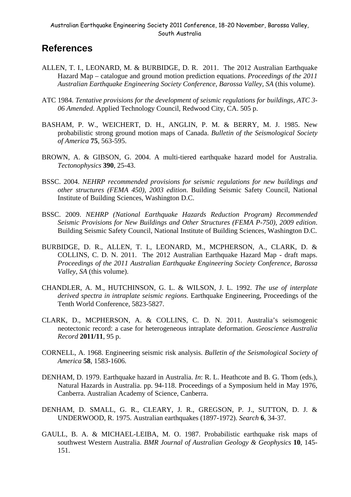### **References**

- ALLEN, T. I., LEONARD, M. & BURBIDGE, D. R. 2011. The 2012 Australian Earthquake Hazard Map – catalogue and ground motion prediction equations. *Proceedings of the 2011 Australian Earthquake Engineering Society Conference, Barossa Valley, SA* (this volume).
- ATC 1984. *Tentative provisions for the development of seismic regulations for buildings, ATC 3- 06 Amended*. Applied Technology Council, Redwood City, CA. 505 p.
- BASHAM, P. W., WEICHERT, D. H., ANGLIN, P. M. & BERRY, M. J. 1985. New probabilistic strong ground motion maps of Canada. *Bulletin of the Seismological Society of America* **75**, 563-595.
- BROWN, A. & GIBSON, G. 2004. A multi-tiered earthquake hazard model for Australia. *Tectonophysics* **390**, 25-43.
- BSSC. 2004. *NEHRP recommended provisions for seismic regulations for new buildings and other structures (FEMA 450), 2003 edition*. Building Seismic Safety Council, National Institute of Building Sciences, Washington D.C.
- BSSC. 2009. *NEHRP (National Earthquake Hazards Reduction Program) Recommended Seismic Provisions for New Buildings and Other Structures (FEMA P-750), 2009 edition*. Building Seismic Safety Council, National Institute of Building Sciences, Washington D.C.
- BURBIDGE, D. R., ALLEN, T. I., LEONARD, M., MCPHERSON, A., CLARK, D. & COLLINS, C. D. N. 2011. The 2012 Australian Earthquake Hazard Map - draft maps. *Proceedings of the 2011 Australian Earthquake Engineering Society Conference, Barossa Valley, SA* (this volume).
- CHANDLER, A. M., HUTCHINSON, G. L. & WILSON, J. L. 1992. *The use of interplate derived spectra in intraplate seismic regions*. Earthquake Engineering, Proceedings of the Tenth World Conference, 5823-5827.
- CLARK, D., MCPHERSON, A. & COLLINS, C. D. N. 2011. Australia's seismogenic neotectonic record: a case for heterogeneous intraplate deformation. *Geoscience Australia Record* **2011/11**, 95 p.
- CORNELL, A. 1968. Engineering seismic risk analysis. *Bulletin of the Seismological Society of America* **58**, 1583-1606.
- DENHAM, D. 1979. Earthquake hazard in Australia. *In*: R. L. Heathcote and B. G. Thom (eds.), Natural Hazards in Australia. pp. 94-118. Proceedings of a Symposium held in May 1976, Canberra. Australian Academy of Science, Canberra.
- DENHAM, D. SMALL, G. R., CLEARY, J. R., GREGSON, P. J., SUTTON, D. J. & UNDERWOOD, R. 1975. Australian earthquakes (1897-1972). *Search* **6**, 34-37.
- GAULL, B. A. & MICHAEL-LEIBA, M. O. 1987. Probabilistic earthquake risk maps of southwest Western Australia. *BMR Journal of Australian Geology & Geophysics* **10**, 145- 151.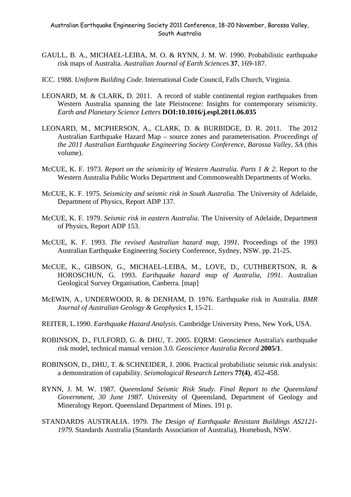- GAULL, B. A., MICHAEL-LEIBA, M. O. & RYNN, J. M. W. 1990. Probabilistic earthquake risk maps of Australia. *Australian Journal of Earth Sciences* **37**, 169-187.
- ICC. 1988. *Uniform Building Code*. International Code Council, Falls Church, Virginia.
- LEONARD, M. & CLARK, D. 2011. A record of stable continental region earthquakes from Western Australia spanning the late Pleistocene: Insights for contemporary seismicity. *Earth and Planetary Science Letters* **DOI:10.1016/j.espl.2011.06.035**
- LEONARD, M., MCPHERSON, A., CLARK, D. & BURBIDGE, D. R. 2011. The 2012 Australian Earthquake Hazard Map – source zones and parameterisation. *Proceedings of the 2011 Australian Earthquake Engineering Society Conference, Barossa Valley, SA* (this volume).
- McCUE, K. F. 1973. *Report on the seismicity of Western Australia. Parts 1 & 2*. Report to the Western Australia Public Works Department and Commonwealth Departments of Works.
- McCUE, K. F. 1975. *Seismicity and seismic risk in South Australia*. The University of Adelaide, Department of Physics, Report ADP 137.
- McCUE, K. F. 1979. *Seismic risk in eastern Australia*. The University of Adelaide, Department of Physics, Report ADP 153.
- McCUE, K. F. 1993. *The revised Australian hazard map, 1991*. Proceedings of the 1993 Australian Earthquake Engineering Society Conference, Sydney, NSW. pp. 21-25.
- McCUE, K., GIBSON, G., MICHAEL-LEIBA, M., LOVE, D., CUTHBERTSON, R. & HOROSCHUN, G. 1993. *Earthquake hazard map of Australia, 1991*. Australian Geological Survey Organisation, Canberra. [map]
- McEWIN, A., UNDERWOOD, R. & DENHAM, D. 1976. Earthquake risk in Australia. *BMR Journal of Australian Geology & Geophysics* **1**, 15-21.
- REITER, L.1990. *Earthquake Hazard Analysis*. Cambridge University Press, New York, USA.
- ROBINSON, D., FULFORD, G. & DHU, T. 2005. EQRM: Geoscience Australia's earthquake risk model, technical manual version 3.0. *Geoscience Australia Record* **2005/1**.
- ROBINSON, D., DHU, T. & SCHNEIDER, J. 2006. Practical probabilistic seismic risk analysis: a demonstration of capability. *Seismological Research Letters* **77(4)**, 452-458.
- RYNN, J. M. W. 1987. *Queensland Seismic Risk Study. Final Report to the Queensland Government, 30 June 1987*. University of Queensland, Department of Geology and Mineralogy Report. Queensland Department of Mines. 191 p.
- STANDARDS AUSTRALIA. 1979. *The Design of Earthquake Resistant Buildings AS2121- 1979*. Standards Australia (Standards Association of Australia), Homebush, NSW.